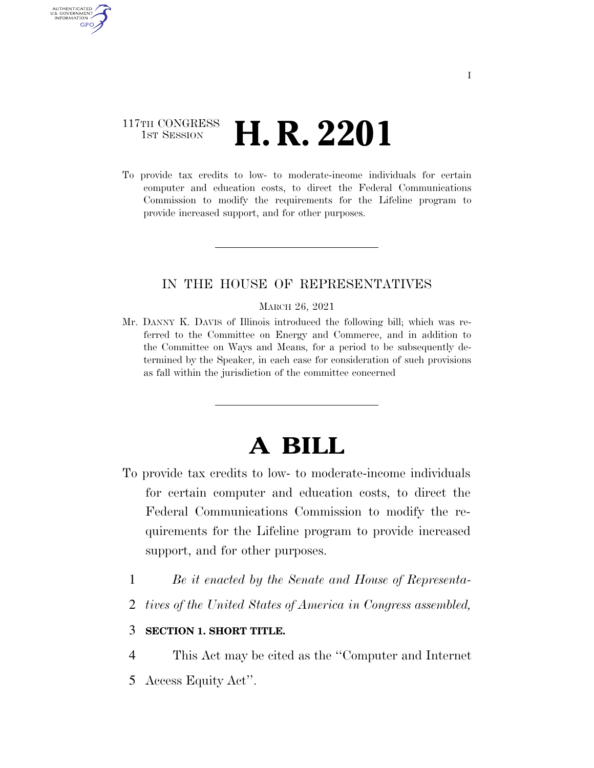## 117TH CONGRESS **1st Session H. R. 2201**

AUTHENTICATED U.S. GOVERNMENT **GPO** 

> To provide tax credits to low- to moderate-income individuals for certain computer and education costs, to direct the Federal Communications Commission to modify the requirements for the Lifeline program to provide increased support, and for other purposes.

### IN THE HOUSE OF REPRESENTATIVES

#### MARCH 26, 2021

Mr. DANNY K. DAVIS of Illinois introduced the following bill; which was referred to the Committee on Energy and Commerce, and in addition to the Committee on Ways and Means, for a period to be subsequently determined by the Speaker, in each case for consideration of such provisions as fall within the jurisdiction of the committee concerned

# **A BILL**

- To provide tax credits to low- to moderate-income individuals for certain computer and education costs, to direct the Federal Communications Commission to modify the requirements for the Lifeline program to provide increased support, and for other purposes.
	- 1 *Be it enacted by the Senate and House of Representa-*
	- 2 *tives of the United States of America in Congress assembled,*

#### 3 **SECTION 1. SHORT TITLE.**

- 4 This Act may be cited as the ''Computer and Internet
- 5 Access Equity Act''.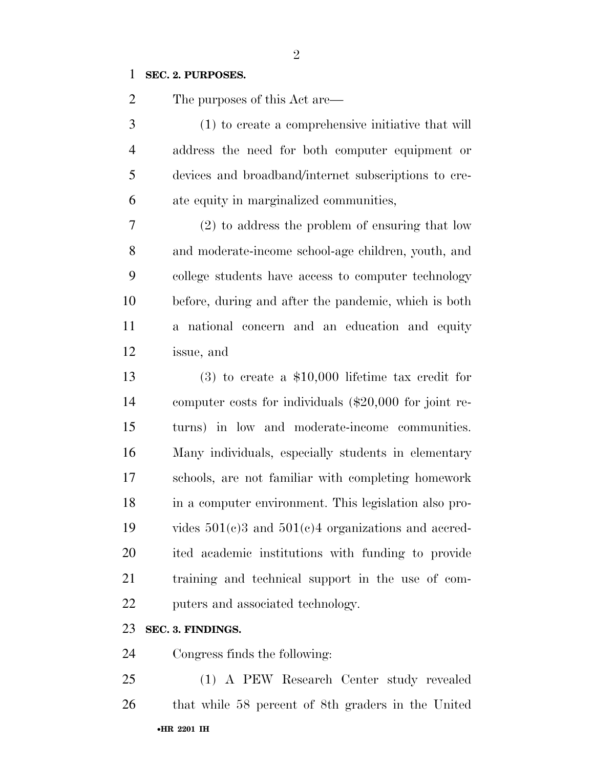#### **SEC. 2. PURPOSES.**

The purposes of this Act are—

 (1) to create a comprehensive initiative that will address the need for both computer equipment or devices and broadband/internet subscriptions to cre-ate equity in marginalized communities,

 (2) to address the problem of ensuring that low and moderate-income school-age children, youth, and college students have access to computer technology before, during and after the pandemic, which is both a national concern and an education and equity issue, and

 (3) to create a \$10,000 lifetime tax credit for computer costs for individuals (\$20,000 for joint re- turns) in low and moderate-income communities. Many individuals, especially students in elementary schools, are not familiar with completing homework in a computer environment. This legislation also pro- vides 501(c)3 and 501(c)4 organizations and accred- ited academic institutions with funding to provide training and technical support in the use of com-puters and associated technology.

#### **SEC. 3. FINDINGS.**

Congress finds the following:

•**HR 2201 IH** (1) A PEW Research Center study revealed that while 58 percent of 8th graders in the United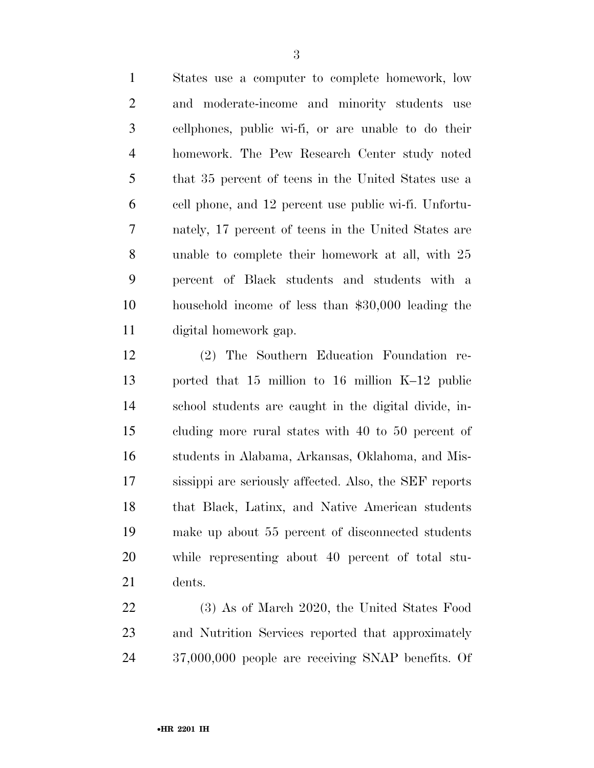States use a computer to complete homework, low and moderate-income and minority students use cellphones, public wi-fi, or are unable to do their homework. The Pew Research Center study noted that 35 percent of teens in the United States use a cell phone, and 12 percent use public wi-fi. Unfortu- nately, 17 percent of teens in the United States are unable to complete their homework at all, with 25 percent of Black students and students with a household income of less than \$30,000 leading the digital homework gap.

 (2) The Southern Education Foundation re- ported that 15 million to 16 million K–12 public school students are caught in the digital divide, in- cluding more rural states with 40 to 50 percent of students in Alabama, Arkansas, Oklahoma, and Mis- sissippi are seriously affected. Also, the SEF reports that Black, Latinx, and Native American students make up about 55 percent of disconnected students while representing about 40 percent of total stu-dents.

 (3) As of March 2020, the United States Food and Nutrition Services reported that approximately 37,000,000 people are receiving SNAP benefits. Of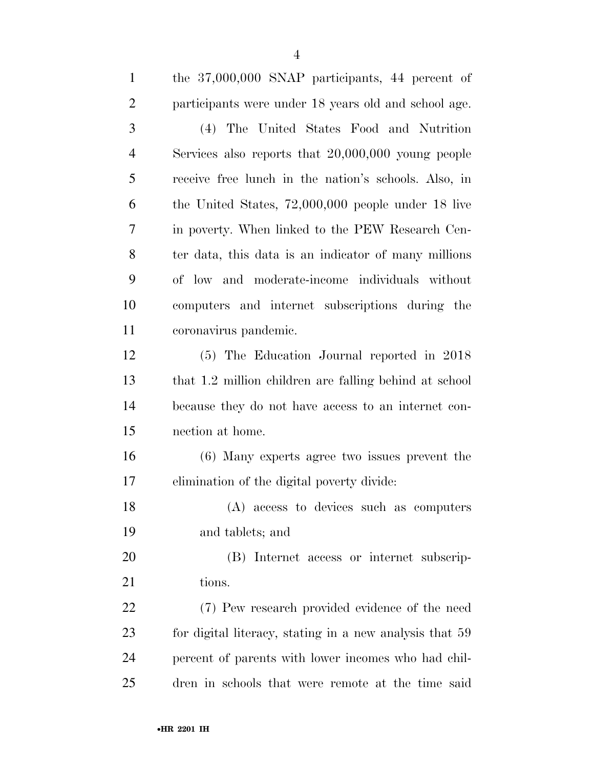| $\mathbf{1}$   | the 37,000,000 SNAP participants, 44 percent of         |
|----------------|---------------------------------------------------------|
| $\overline{2}$ | participants were under 18 years old and school age.    |
| 3              | (4) The United States Food and Nutrition                |
| $\overline{4}$ | Services also reports that $20,000,000$ young people    |
| 5              | receive free lunch in the nation's schools. Also, in    |
| 6              | the United States, $72,000,000$ people under 18 live    |
| 7              | in poverty. When linked to the PEW Research Cen-        |
| 8              | ter data, this data is an indicator of many millions    |
| 9              | of low and moderate-income individuals without          |
| 10             | computers and internet subscriptions during the         |
| 11             | coronavirus pandemic.                                   |
| 12             | (5) The Education Journal reported in 2018              |
| 13             | that 1.2 million children are falling behind at school  |
| 14             | because they do not have access to an internet con-     |
| 15             | nection at home.                                        |
| 16             | (6) Many experts agree two issues prevent the           |
| 17             | elimination of the digital poverty divide:              |
| 18             | (A) access to devices such as computers                 |
| 19             | and tablets; and                                        |
| 20             | (B) Internet access or internet subscrip-               |
| 21             | tions.                                                  |
| 22             | (7) Pew research provided evidence of the need          |
| 23             | for digital literacy, stating in a new analysis that 59 |
| 24             | percent of parents with lower incomes who had chil-     |
| 25             | dren in schools that were remote at the time said       |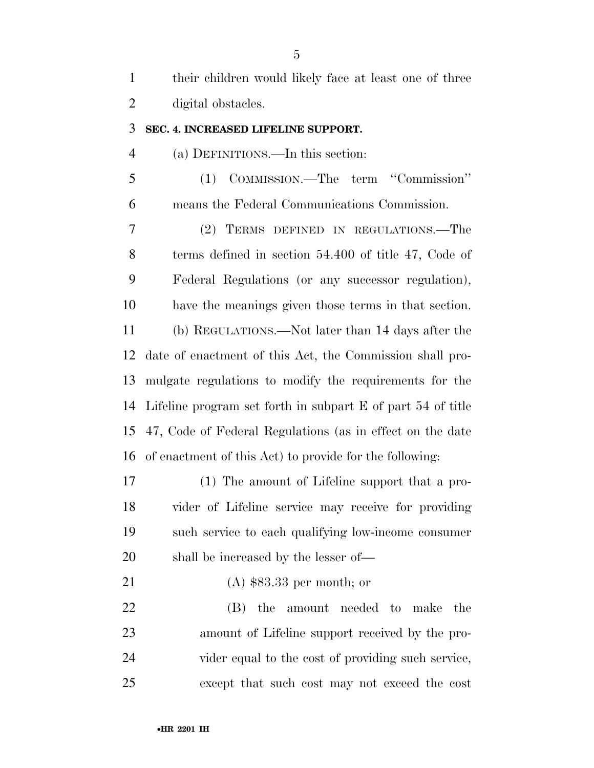| their children would likely face at least one of three |
|--------------------------------------------------------|
| digital obstacles.                                     |

#### **SEC. 4. INCREASED LIFELINE SUPPORT.**

(a) DEFINITIONS.—In this section:

 (1) COMMISSION.—The term ''Commission'' means the Federal Communications Commission.

 (2) TERMS DEFINED IN REGULATIONS.—The terms defined in section 54.400 of title 47, Code of Federal Regulations (or any successor regulation), have the meanings given those terms in that section. (b) REGULATIONS.—Not later than 14 days after the date of enactment of this Act, the Commission shall pro- mulgate regulations to modify the requirements for the Lifeline program set forth in subpart E of part 54 of title 47, Code of Federal Regulations (as in effect on the date of enactment of this Act) to provide for the following:

 (1) The amount of Lifeline support that a pro- vider of Lifeline service may receive for providing such service to each qualifying low-income consumer shall be increased by the lesser of—

(A) \$83.33 per month; or

 (B) the amount needed to make the amount of Lifeline support received by the pro- vider equal to the cost of providing such service, except that such cost may not exceed the cost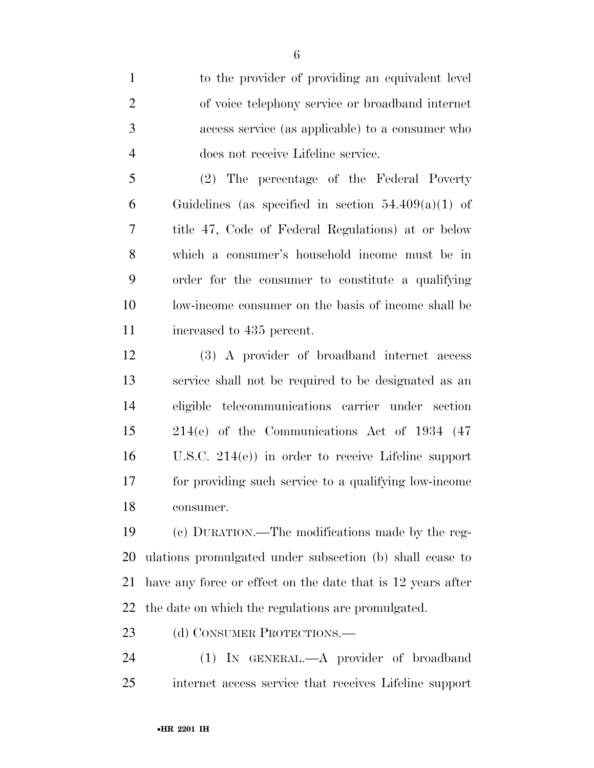to the provider of providing an equivalent level of voice telephony service or broadband internet access service (as applicable) to a consumer who does not receive Lifeline service.

 (2) The percentage of the Federal Poverty 6 Guidelines (as specified in section  $54.409(a)(1)$  of title 47, Code of Federal Regulations) at or below which a consumer's household income must be in order for the consumer to constitute a qualifying low-income consumer on the basis of income shall be increased to 435 percent.

 (3) A provider of broadband internet access service shall not be required to be designated as an eligible telecommunications carrier under section 214(e) of the Communications Act of 1934 (47 U.S.C. 214(e)) in order to receive Lifeline support for providing such service to a qualifying low-income consumer.

 (c) DURATION.—The modifications made by the reg- ulations promulgated under subsection (b) shall cease to have any force or effect on the date that is 12 years after the date on which the regulations are promulgated.

23 (d) CONSUMER PROTECTIONS.—

 (1) IN GENERAL.—A provider of broadband internet access service that receives Lifeline support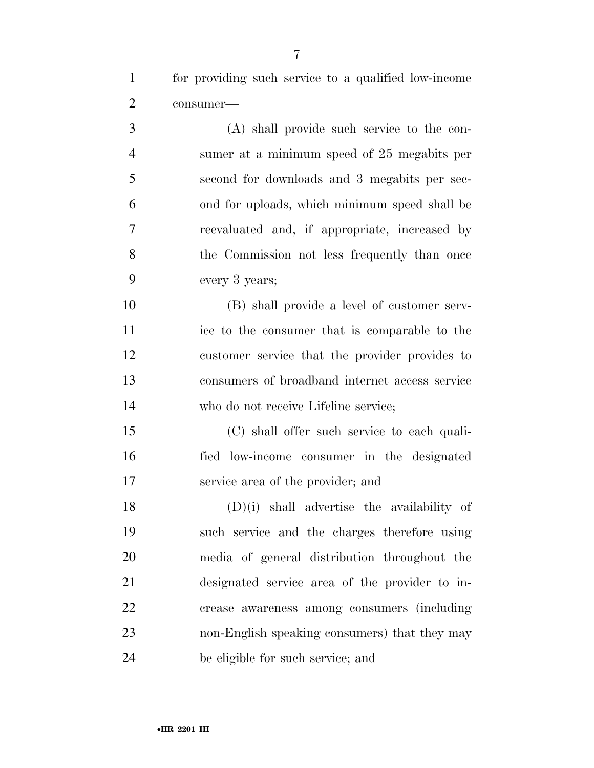for providing such service to a qualified low-income consumer—

 (A) shall provide such service to the con- sumer at a minimum speed of 25 megabits per second for downloads and 3 megabits per sec- ond for uploads, which minimum speed shall be reevaluated and, if appropriate, increased by 8 the Commission not less frequently than once every 3 years;

 (B) shall provide a level of customer serv- ice to the consumer that is comparable to the customer service that the provider provides to consumers of broadband internet access service who do not receive Lifeline service;

 (C) shall offer such service to each quali- fied low-income consumer in the designated service area of the provider; and

 (D)(i) shall advertise the availability of such service and the charges therefore using media of general distribution throughout the designated service area of the provider to in- crease awareness among consumers (including non-English speaking consumers) that they may be eligible for such service; and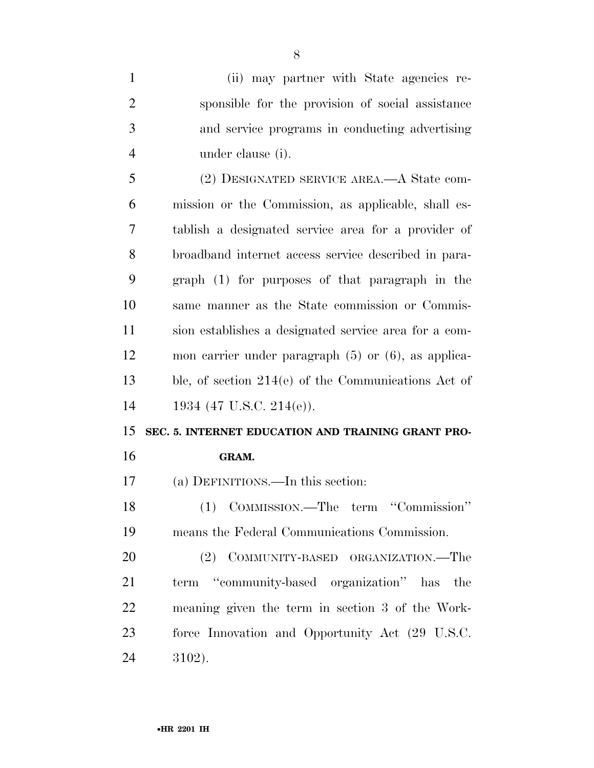| $\mathbf{1}$   | (ii) may partner with State agencies re-                 |
|----------------|----------------------------------------------------------|
| $\overline{2}$ | sponsible for the provision of social assistance         |
| 3              | and service programs in conducting advertising           |
| $\overline{4}$ | under clause (i).                                        |
| 5              | (2) DESIGNATED SERVICE AREA.—A State com-                |
| 6              | mission or the Commission, as applicable, shall es-      |
| 7              | tablish a designated service area for a provider of      |
| 8              | broadband internet access service described in para-     |
| 9              | graph (1) for purposes of that paragraph in the          |
| 10             | same manner as the State commission or Commis-           |
| 11             | sion establishes a designated service area for a com-    |
| 12             | mon carrier under paragraph $(5)$ or $(6)$ , as applica- |
|                |                                                          |
| 13             | ble, of section $214(e)$ of the Communications Act of    |
| 14             | 1934 (47 U.S.C. 214(e)).                                 |
| 15             | SEC. 5. INTERNET EDUCATION AND TRAINING GRANT PRO-       |
| 16             | GRAM.                                                    |
| 17             | (a) DEFINITIONS.—In this section:                        |
| 18             | (1) COMMISSION.—The term "Commission"                    |
| 19             | means the Federal Communications Commission.             |
| 20             | (2) COMMUNITY-BASED ORGANIZATION.—The                    |
| 21             | term "community-based organization" has<br>the           |
| 22             | meaning given the term in section 3 of the Work-         |
| 23             | force Innovation and Opportunity Act (29 U.S.C.          |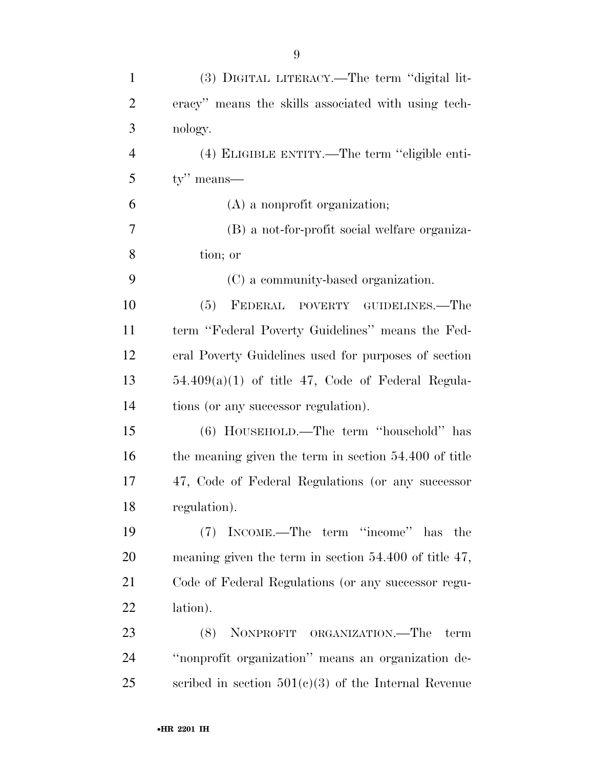| $\mathbf{1}$   | (3) DIGITAL LITERACY.—The term "digital lit-               |
|----------------|------------------------------------------------------------|
| $\overline{2}$ | eracy" means the skills associated with using tech-        |
| 3              | nology.                                                    |
| $\overline{4}$ | (4) ELIGIBLE ENTITY.—The term "eligible enti-              |
| 5              | $ty''$ means—                                              |
| 6              | $(A)$ a nonprofit organization;                            |
| 7              | (B) a not-for-profit social welfare organiza-              |
| 8              | tion; or                                                   |
| 9              | (C) a community-based organization.                        |
| 10             | (5)<br>FEDERAL POVERTY GUIDELINES.—The                     |
| 11             | term "Federal Poverty Guidelines" means the Fed-           |
| 12             | eral Poverty Guidelines used for purposes of section       |
| 13             | $54.409(a)(1)$ of title 47, Code of Federal Regula-        |
| 14             | tions (or any successor regulation).                       |
| 15             | (6) HOUSEHOLD.—The term "household" has                    |
| 16             | the meaning given the term in section 54.400 of title      |
| 17             | 47, Code of Federal Regulations (or any successor          |
| 18             | regulation).                                               |
| 19             | INCOME.—The term "income" has the<br>(7)                   |
| 20             | meaning given the term in section $54.400$ of title $47$ , |
| 21             | Code of Federal Regulations (or any successor regu-        |
| 22             | lation).                                                   |
| 23             | NONPROFIT ORGANIZATION.—The<br>(8)<br>term                 |
| 24             | "nonprofit organization" means an organization de-         |
| 25             | scribed in section $501(c)(3)$ of the Internal Revenue     |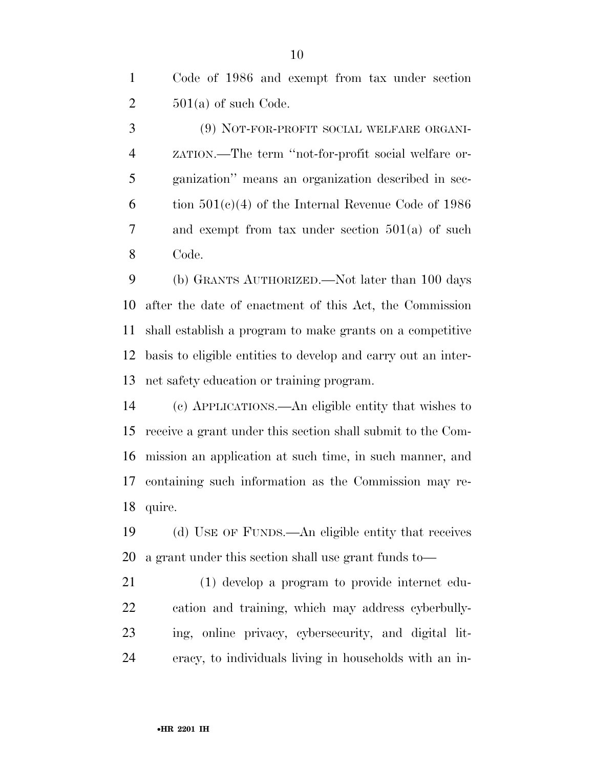Code of 1986 and exempt from tax under section  $2 \qquad 501(a)$  of such Code.

 (9) NOT-FOR-PROFIT SOCIAL WELFARE ORGANI- ZATION.—The term ''not-for-profit social welfare or- ganization'' means an organization described in sec-6 tion  $501(e)(4)$  of the Internal Revenue Code of 1986 and exempt from tax under section 501(a) of such Code.

 (b) GRANTS AUTHORIZED.—Not later than 100 days after the date of enactment of this Act, the Commission shall establish a program to make grants on a competitive basis to eligible entities to develop and carry out an inter-net safety education or training program.

 (c) APPLICATIONS.—An eligible entity that wishes to receive a grant under this section shall submit to the Com- mission an application at such time, in such manner, and containing such information as the Commission may re-quire.

 (d) USE OF FUNDS.—An eligible entity that receives a grant under this section shall use grant funds to—

 (1) develop a program to provide internet edu- cation and training, which may address cyberbully- ing, online privacy, cybersecurity, and digital lit-eracy, to individuals living in households with an in-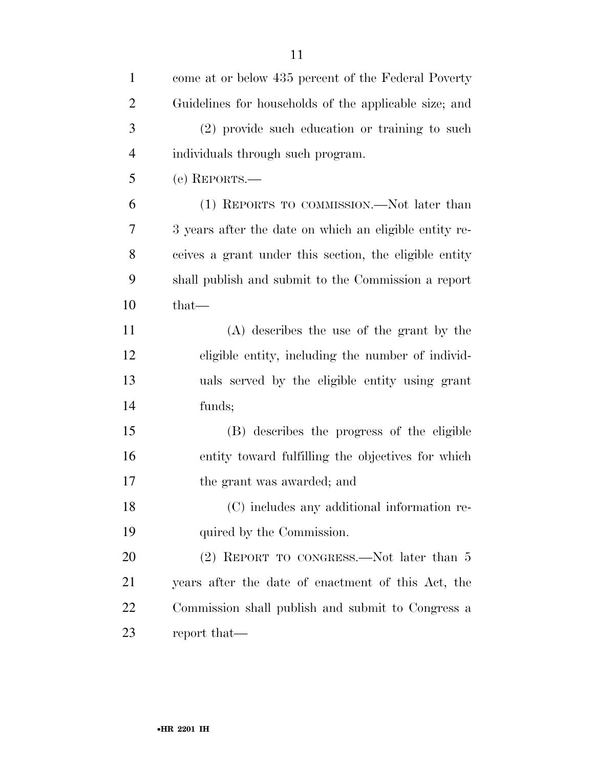| $\mathbf{1}$   | come at or below 435 percent of the Federal Poverty    |
|----------------|--------------------------------------------------------|
| $\overline{2}$ | Guidelines for households of the applicable size; and  |
| 3              | (2) provide such education or training to such         |
| 4              | individuals through such program.                      |
| 5              | (e) REPORTS.—                                          |
| 6              | (1) REPORTS TO COMMISSION.—Not later than              |
| 7              | 3 years after the date on which an eligible entity re- |
| 8              | ceives a grant under this section, the eligible entity |
| 9              | shall publish and submit to the Commission a report    |
| 10             | $that$ —                                               |
| 11             | (A) describes the use of the grant by the              |
| 12             | eligible entity, including the number of individ-      |
| 13             | uals served by the eligible entity using grant         |
| 14             | funds;                                                 |
| 15             | (B) describes the progress of the eligible             |
| 16             | entity toward fulfilling the objectives for which      |
| 17             | the grant was awarded; and                             |
| 18             | (C) includes any additional information re-            |
| 19             | quired by the Commission.                              |
| 20             | (2) REPORT TO CONGRESS.—Not later than 5               |
| 21             | years after the date of enactment of this Act, the     |
| 22             | Commission shall publish and submit to Congress a      |
| 23             | report that—                                           |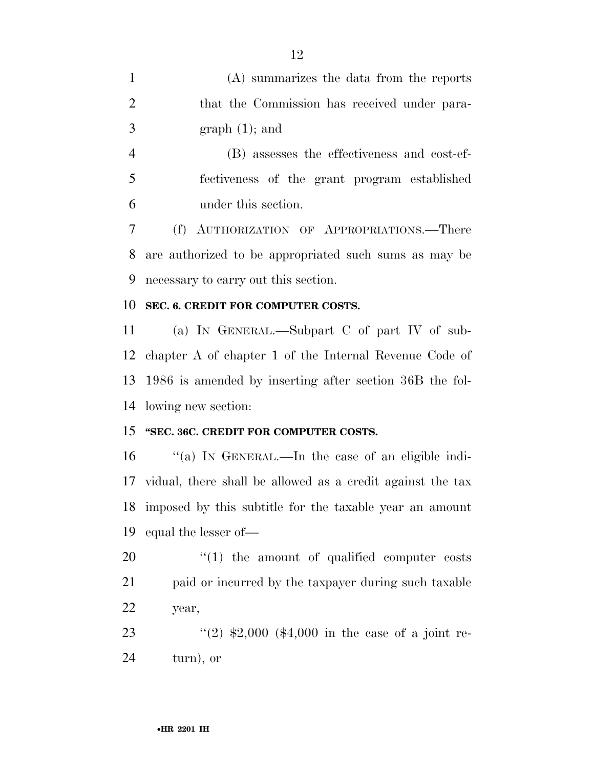(A) summarizes the data from the reports that the Commission has received under para- $3 \quad \text{graph } (1);$  and (B) assesses the effectiveness and cost-ef- fectiveness of the grant program established under this section. (f) AUTHORIZATION OF APPROPRIATIONS.—There are authorized to be appropriated such sums as may be necessary to carry out this section. **SEC. 6. CREDIT FOR COMPUTER COSTS.**  (a) IN GENERAL.—Subpart C of part IV of sub- chapter A of chapter 1 of the Internal Revenue Code of 1986 is amended by inserting after section 36B the fol- lowing new section: **''SEC. 36C. CREDIT FOR COMPUTER COSTS.**  ''(a) IN GENERAL.—In the case of an eligible indi- vidual, there shall be allowed as a credit against the tax imposed by this subtitle for the taxable year an amount equal the lesser of—  $\frac{1}{20}$  (1) the amount of qualified computer costs paid or incurred by the taxpayer during such taxable year, 23 ''(2)  $\text{$}2,000$  (\$4,000 in the case of a joint re-turn), or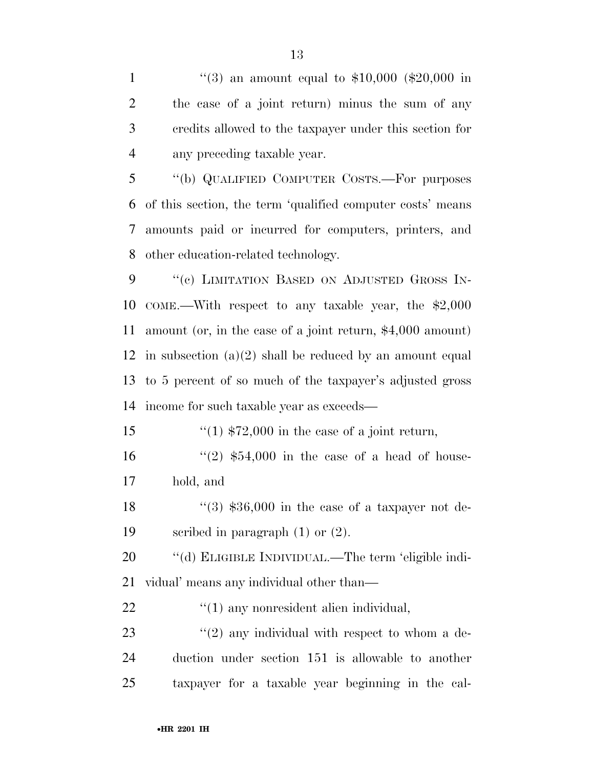$\frac{4}{3}$  an amount equal to \$10,000 (\$20,000 in the case of a joint return) minus the sum of any credits allowed to the taxpayer under this section for any preceding taxable year.

 ''(b) QUALIFIED COMPUTER COSTS.—For purposes of this section, the term 'qualified computer costs' means amounts paid or incurred for computers, printers, and other education-related technology.

9 "(c) LIMITATION BASED ON ADJUSTED GROSS IN- COME.—With respect to any taxable year, the \$2,000 amount (or, in the case of a joint return, \$4,000 amount) 12 in subsection  $(a)(2)$  shall be reduced by an amount equal to 5 percent of so much of the taxpayer's adjusted gross income for such taxable year as exceeds—

15  $\frac{15}{15}$   $\frac{15}{1000}$  in the case of a joint return,

16  $(2)$  \$54,000 in the case of a head of house-hold, and

18  $\frac{16}{3}$   $\frac{$36,000}{10}$  in the case of a taxpayer not de-scribed in paragraph (1) or (2).

 ''(d) ELIGIBLE INDIVIDUAL.—The term 'eligible indi-vidual' means any individual other than—

''(1) any nonresident alien individual,

23  $\frac{1}{2}$  (2) any individual with respect to whom a de- duction under section 151 is allowable to another taxpayer for a taxable year beginning in the cal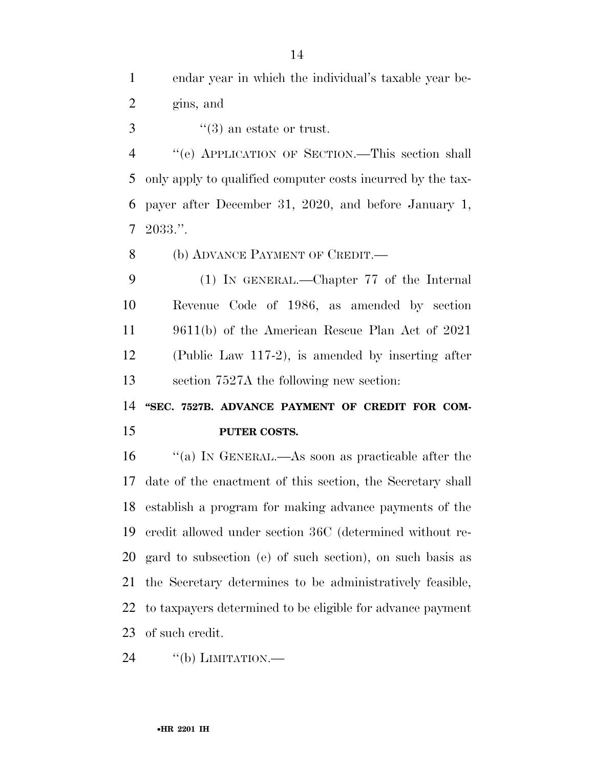''(3) an estate or trust.

 ''(e) APPLICATION OF SECTION.—This section shall only apply to qualified computer costs incurred by the tax- payer after December 31, 2020, and before January 1, 2033.''.

8 (b) ADVANCE PAYMENT OF CREDIT.—

 (1) IN GENERAL.—Chapter 77 of the Internal Revenue Code of 1986, as amended by section 9611(b) of the American Rescue Plan Act of 2021 (Public Law 117-2), is amended by inserting after section 7527A the following new section:

14 "SEC. 7527B. ADVANCE PAYMENT OF CREDIT FOR COM-**PUTER COSTS.** 

 ''(a) IN GENERAL.—As soon as practicable after the date of the enactment of this section, the Secretary shall establish a program for making advance payments of the credit allowed under section 36C (determined without re- gard to subsection (e) of such section), on such basis as the Secretary determines to be administratively feasible, to taxpayers determined to be eligible for advance payment of such credit.

24 "(b) LIMITATION.—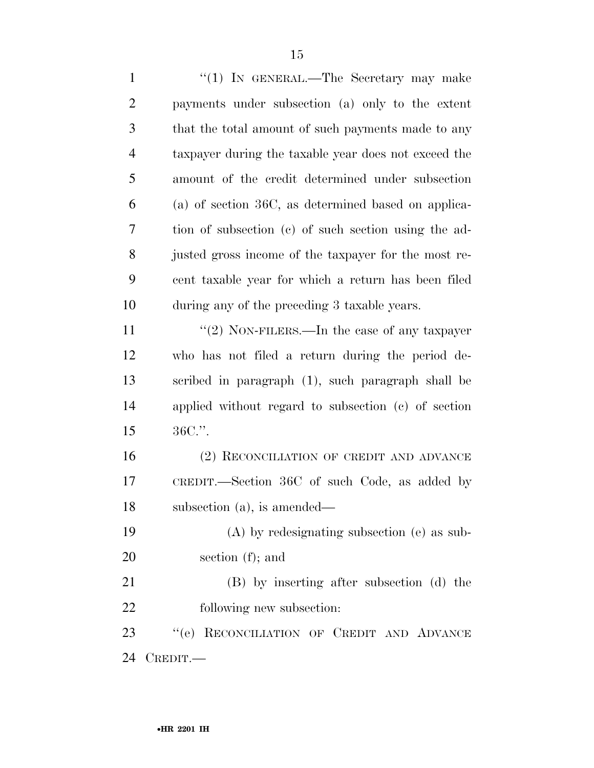1 "(1) IN GENERAL.—The Secretary may make payments under subsection (a) only to the extent that the total amount of such payments made to any taxpayer during the taxable year does not exceed the amount of the credit determined under subsection (a) of section 36C, as determined based on applica- tion of subsection (c) of such section using the ad- justed gross income of the taxpayer for the most re- cent taxable year for which a return has been filed during any of the preceding 3 taxable years.  $\frac{1}{2}$  NON-FILERS.—In the case of any taxpayer who has not filed a return during the period de- scribed in paragraph (1), such paragraph shall be applied without regard to subsection (c) of section 36C.''. 16 (2) RECONCILIATION OF CREDIT AND ADVANCE CREDIT.—Section 36C of such Code, as added by subsection (a), is amended— (A) by redesignating subsection (e) as sub- section (f); and (B) by inserting after subsection (d) the following new subsection: ''(e) RECONCILIATION OF CREDIT AND ADVANCE CREDIT.—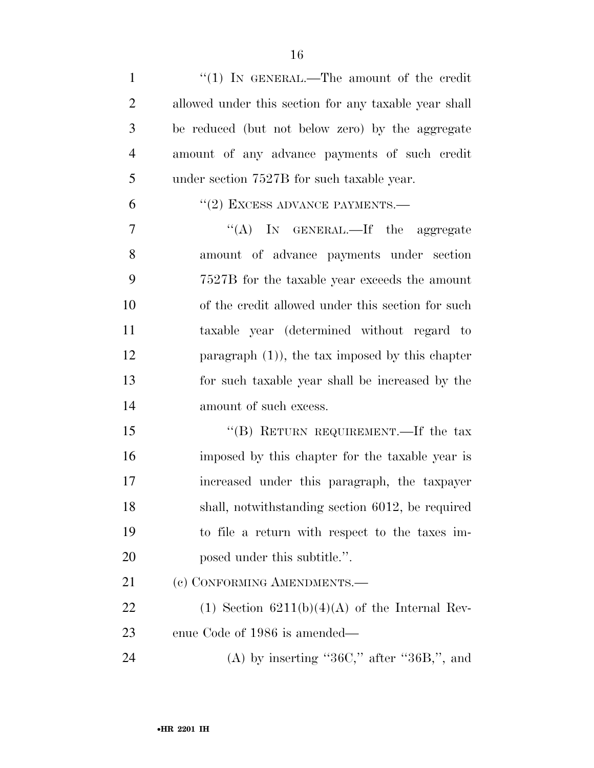- 1 "(1) IN GENERAL.—The amount of the credit allowed under this section for any taxable year shall be reduced (but not below zero) by the aggregate amount of any advance payments of such credit under section 7527B for such taxable year.  $(2)$  EXCESS ADVANCE PAYMENTS.— 7 "'(A) In GENERAL.—If the aggregate amount of advance payments under section 7527B for the taxable year exceeds the amount of the credit allowed under this section for such taxable year (determined without regard to paragraph (1)), the tax imposed by this chapter for such taxable year shall be increased by the
- amount of such excess.

15 "(B) RETURN REQUIREMENT.—If the tax imposed by this chapter for the taxable year is increased under this paragraph, the taxpayer shall, notwithstanding section 6012, be required to file a return with respect to the taxes im-20 posed under this subtitle.".

21 (c) CONFORMING AMENDMENTS.

22 (1) Section  $6211(b)(4)(A)$  of the Internal Rev-enue Code of 1986 is amended—

24 (A) by inserting " $36C$ ," after " $36B$ ,", and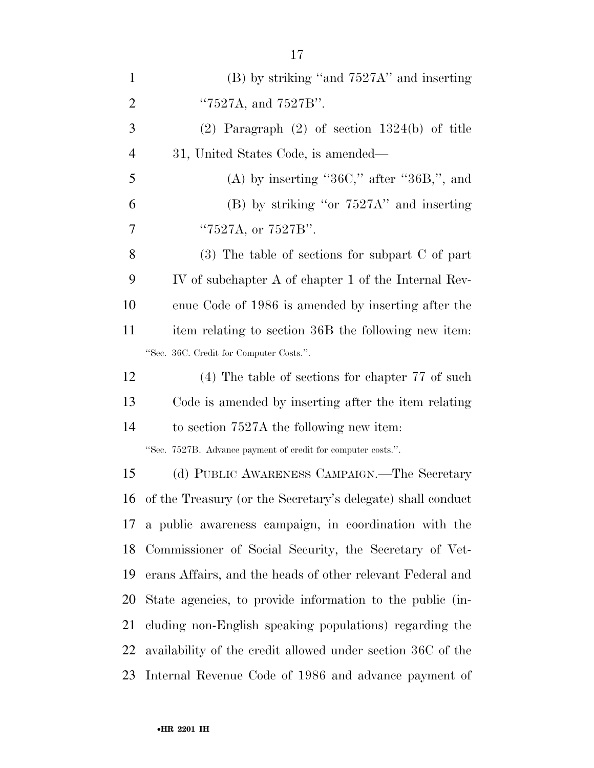| $\mathbf{1}$   | $(B)$ by striking "and $7527A$ " and inserting               |
|----------------|--------------------------------------------------------------|
| $\overline{2}$ | "7527A, and 7527B".                                          |
| 3              | $(2)$ Paragraph $(2)$ of section 1324(b) of title            |
| $\overline{4}$ | 31, United States Code, is amended—                          |
| 5              | (A) by inserting " $36C$ ," after " $36B$ ,", and            |
| 6              | $(B)$ by striking "or $7527A$ " and inserting                |
| 7              | "7527A, or 7527B".                                           |
| 8              | $(3)$ The table of sections for subpart C of part            |
| 9              | IV of subchapter A of chapter 1 of the Internal Rev-         |
| 10             | enue Code of 1986 is amended by inserting after the          |
| 11             | item relating to section 36B the following new item:         |
|                | "Sec. 36C. Credit for Computer Costs.".                      |
| 12             | $(4)$ The table of sections for chapter 77 of such           |
| 13             | Code is amended by inserting after the item relating         |
| 14             | to section 7527A the following new item:                     |
|                | "Sec. 7527B. Advance payment of credit for computer costs.". |
| 15             | (d) PUBLIC AWARENESS CAMPAIGN.—The Secretary                 |
| 16             | of the Treasury (or the Secretary's delegate) shall conduct  |
| 17             | a public awareness campaign, in coordination with the        |
| 18             | Commissioner of Social Security, the Secretary of Vet-       |
| 19             | erans Affairs, and the heads of other relevant Federal and   |
| 20             | State agencies, to provide information to the public (in-    |
| 21             | cluding non-English speaking populations) regarding the      |
| 22             | availability of the credit allowed under section 36C of the  |
| 23             | Internal Revenue Code of 1986 and advance payment of         |